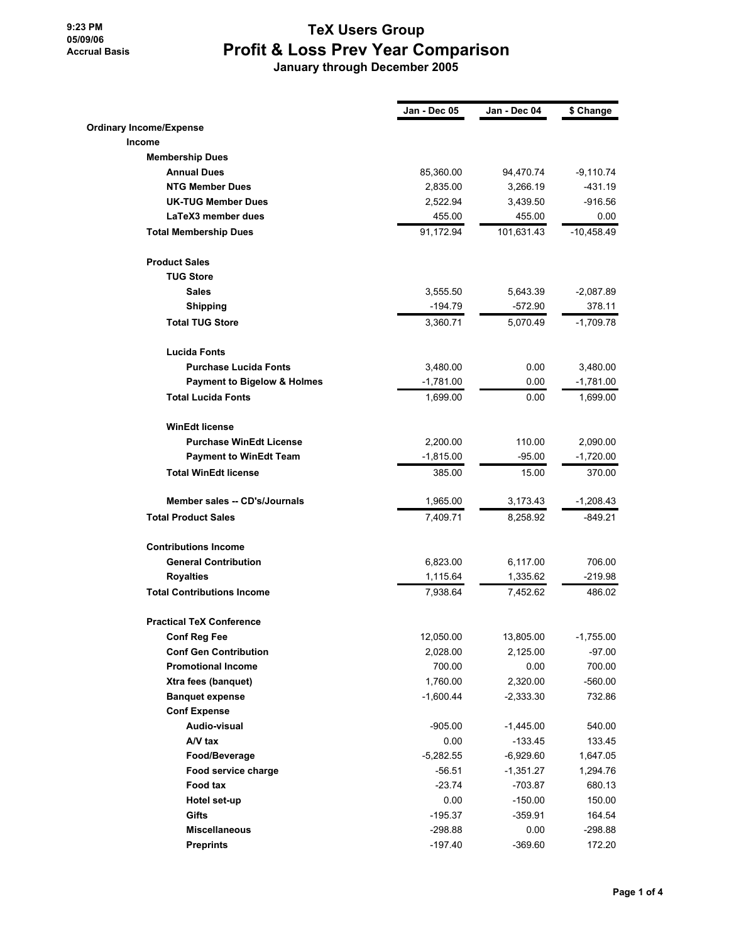### **9:23 PM 05/09/06 Accrual Basis**

## **TeX Users Group Profit & Loss Prev Year Comparison**

 **January through December 2005**

|                                        | Jan - Dec 05 | Jan - Dec 04 | \$ Change    |
|----------------------------------------|--------------|--------------|--------------|
| <b>Ordinary Income/Expense</b>         |              |              |              |
| Income                                 |              |              |              |
| <b>Membership Dues</b>                 |              |              |              |
| <b>Annual Dues</b>                     | 85,360.00    | 94,470.74    | $-9,110.74$  |
| <b>NTG Member Dues</b>                 | 2,835.00     | 3,266.19     | $-431.19$    |
| <b>UK-TUG Member Dues</b>              | 2,522.94     | 3,439.50     | $-916.56$    |
| LaTeX3 member dues                     | 455.00       | 455.00       | 0.00         |
| <b>Total Membership Dues</b>           | 91,172.94    | 101,631.43   | $-10,458.49$ |
| <b>Product Sales</b>                   |              |              |              |
| <b>TUG Store</b>                       |              |              |              |
| <b>Sales</b>                           | 3,555.50     | 5,643.39     | $-2,087.89$  |
| <b>Shipping</b>                        | $-194.79$    | $-572.90$    | 378.11       |
| <b>Total TUG Store</b>                 | 3,360.71     | 5,070.49     | $-1,709.78$  |
| <b>Lucida Fonts</b>                    |              |              |              |
| <b>Purchase Lucida Fonts</b>           | 3,480.00     | 0.00         | 3,480.00     |
| <b>Payment to Bigelow &amp; Holmes</b> | $-1,781.00$  | 0.00         | $-1,781.00$  |
| <b>Total Lucida Fonts</b>              | 1,699.00     | 0.00         | 1,699.00     |
| <b>WinEdt license</b>                  |              |              |              |
| <b>Purchase WinEdt License</b>         | 2,200.00     | 110.00       | 2,090.00     |
| <b>Payment to WinEdt Team</b>          | $-1,815.00$  | $-95.00$     | $-1,720.00$  |
| <b>Total WinEdt license</b>            | 385.00       | 15.00        | 370.00       |
| Member sales -- CD's/Journals          | 1,965.00     | 3,173.43     | $-1,208.43$  |
| <b>Total Product Sales</b>             | 7,409.71     | 8,258.92     | -849.21      |
| <b>Contributions Income</b>            |              |              |              |
| <b>General Contribution</b>            | 6,823.00     | 6,117.00     | 706.00       |
| <b>Royalties</b>                       | 1,115.64     | 1,335.62     | $-219.98$    |
| <b>Total Contributions Income</b>      | 7,938.64     | 7,452.62     | 486.02       |
| <b>Practical TeX Conference</b>        |              |              |              |
| <b>Conf Reg Fee</b>                    | 12,050.00    | 13,805.00    | $-1,755.00$  |
| <b>Conf Gen Contribution</b>           | 2,028.00     | 2,125.00     | $-97.00$     |
| <b>Promotional Income</b>              | 700.00       | 0.00         | 700.00       |
| Xtra fees (banquet)                    | 1,760.00     | 2,320.00     | $-560.00$    |
| <b>Banquet expense</b>                 | $-1,600.44$  | $-2,333.30$  | 732.86       |
| <b>Conf Expense</b>                    |              |              |              |
| Audio-visual                           | $-905.00$    | $-1,445.00$  | 540.00       |
| A/V tax                                | 0.00         | $-133.45$    | 133.45       |
| Food/Beverage                          | -5,282.55    | $-6,929.60$  | 1,647.05     |
| Food service charge                    | $-56.51$     | $-1,351.27$  | 1,294.76     |
| Food tax                               | $-23.74$     | $-703.87$    | 680.13       |
| Hotel set-up                           | 0.00         | $-150.00$    | 150.00       |
| Gifts                                  | $-195.37$    | $-359.91$    | 164.54       |
| <b>Miscellaneous</b>                   | $-298.88$    | 0.00         | $-298.88$    |
| <b>Preprints</b>                       | $-197.40$    | $-369.60$    | 172.20       |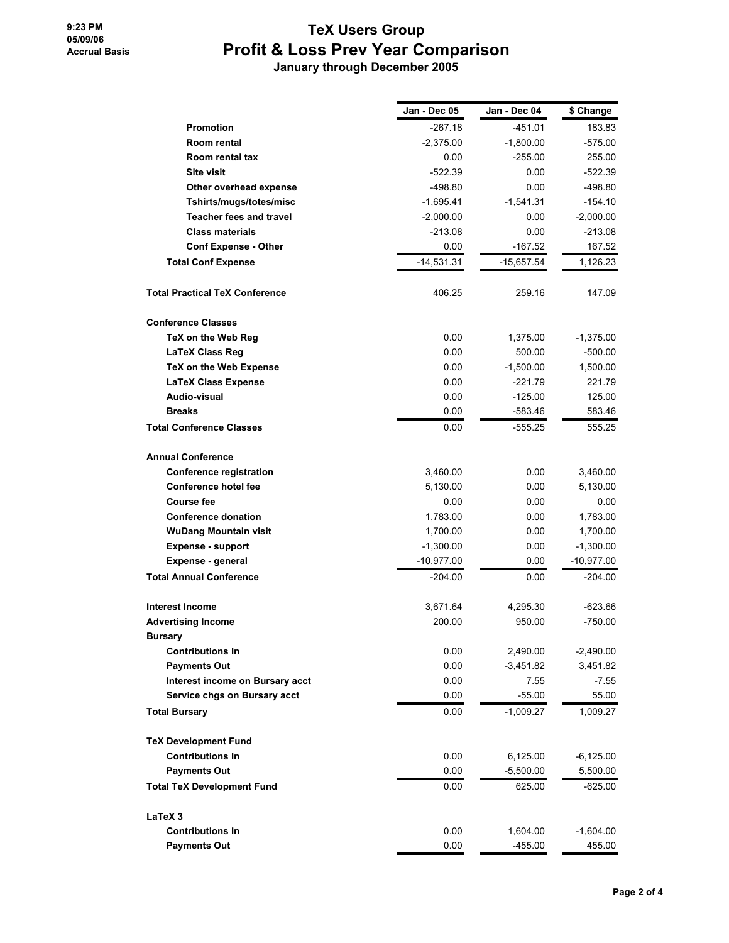# **TeX Users Group Profit & Loss Prev Year Comparison**

 **January through December 2005**

|                                       | Jan - Dec 05 | Jan - Dec 04 | \$ Change   |
|---------------------------------------|--------------|--------------|-------------|
| <b>Promotion</b>                      | -267.18      | -451.01      | 183.83      |
| Room rental                           | $-2,375.00$  | $-1,800.00$  | -575.00     |
| Room rental tax                       | 0.00         | -255.00      | 255.00      |
| <b>Site visit</b>                     | $-522.39$    | 0.00         | $-522.39$   |
| Other overhead expense                | -498.80      | 0.00         | $-498.80$   |
| Tshirts/mugs/totes/misc               | $-1,695.41$  | $-1,541.31$  | $-154.10$   |
| <b>Teacher fees and travel</b>        | $-2,000.00$  | 0.00         | $-2,000.00$ |
| <b>Class materials</b>                | $-213.08$    | 0.00         | $-213.08$   |
| <b>Conf Expense - Other</b>           | 0.00         | -167.52      | 167.52      |
| <b>Total Conf Expense</b>             | $-14,531.31$ | $-15,657.54$ | 1,126.23    |
| <b>Total Practical TeX Conference</b> | 406.25       | 259.16       | 147.09      |
| <b>Conference Classes</b>             |              |              |             |
| TeX on the Web Reg                    | 0.00         | 1,375.00     | $-1,375.00$ |
| LaTeX Class Reg                       | 0.00         | 500.00       | -500.00     |
| TeX on the Web Expense                | 0.00         | $-1,500.00$  | 1,500.00    |
| <b>LaTeX Class Expense</b>            | 0.00         | $-221.79$    | 221.79      |
| Audio-visual                          | 0.00         | $-125.00$    | 125.00      |
| <b>Breaks</b>                         | 0.00         | $-583.46$    | 583.46      |
| <b>Total Conference Classes</b>       | 0.00         | -555.25      | 555.25      |
| <b>Annual Conference</b>              |              |              |             |
| <b>Conference registration</b>        | 3,460.00     | 0.00         | 3,460.00    |
| <b>Conference hotel fee</b>           | 5,130.00     | 0.00         | 5,130.00    |
| <b>Course fee</b>                     | 0.00         | 0.00         | 0.00        |
| <b>Conference donation</b>            | 1,783.00     | 0.00         | 1,783.00    |
| <b>WuDang Mountain visit</b>          | 1,700.00     | 0.00         | 1,700.00    |
| <b>Expense - support</b>              | $-1,300.00$  | 0.00         | $-1,300.00$ |
| Expense - general                     | $-10,977.00$ | 0.00         | -10,977.00  |
| <b>Total Annual Conference</b>        | -204.00      | 0.00         | -204.00     |
| <b>Interest Income</b>                | 3,671.64     | 4,295.30     | -623.66     |
| <b>Advertising Income</b>             | 200.00       | 950.00       | $-750.00$   |
| <b>Bursary</b>                        |              |              |             |
| <b>Contributions In</b>               | 0.00         | 2,490.00     | $-2,490.00$ |
| <b>Payments Out</b>                   | 0.00         | $-3,451.82$  | 3,451.82    |
| Interest income on Bursary acct       | 0.00         | 7.55         | $-7.55$     |
| Service chgs on Bursary acct          | 0.00         | $-55.00$     | 55.00       |
| <b>Total Bursary</b>                  | 0.00         | -1,009.27    | 1,009.27    |
| <b>TeX Development Fund</b>           |              |              |             |
| <b>Contributions In</b>               | 0.00         | 6,125.00     | $-6,125.00$ |
| <b>Payments Out</b>                   | 0.00         | $-5,500.00$  | 5,500.00    |
| <b>Total TeX Development Fund</b>     | 0.00         | 625.00       | $-625.00$   |
| <b>LaTeX3</b>                         |              |              |             |
| <b>Contributions In</b>               | 0.00         | 1,604.00     | $-1,604.00$ |
| <b>Payments Out</b>                   | 0.00         | $-455.00$    | 455.00      |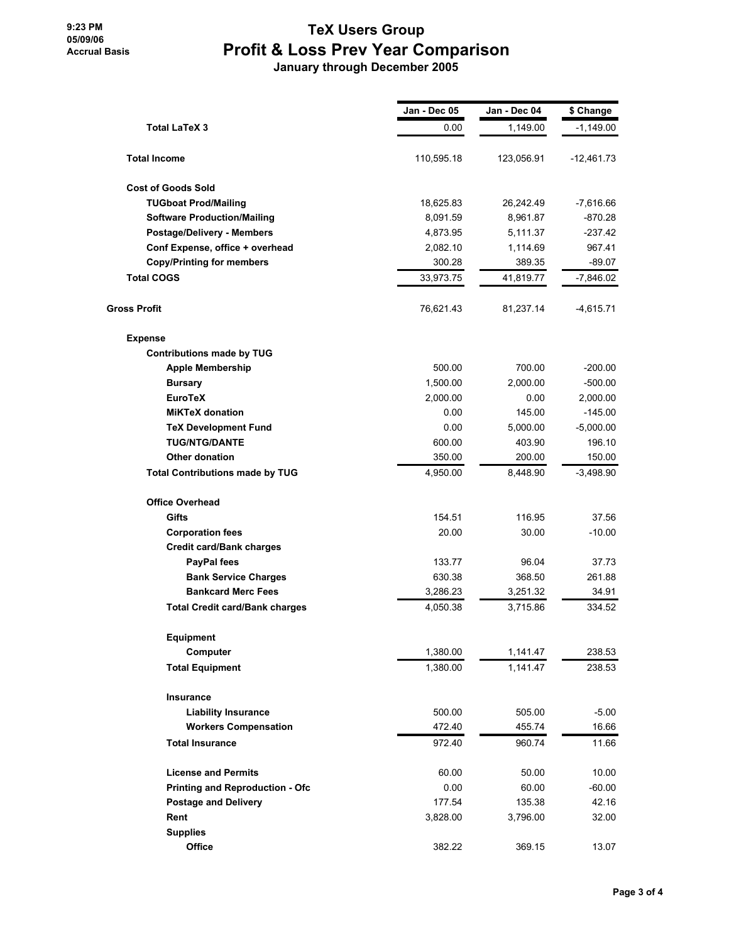**9:23 PM 05/09/06 Accrual Basis**

### **TeX Users Group Profit & Loss Prev Year Comparison January through December 2005**

**Jan - Dec 05 Jan - Dec 04 \$ Change Total LaTeX 3** 0.00 1,149.00 -1,149.00 **Total Income** 110,595.18 123,056.91 -12,461.73 **Cost of Goods Sold TUGboat Prod/Mailing** 18,625.83 26,242.49 -7,616.66 **Software Production/Mailing** 8,091.59 8,961.87 -870.28 **Postage/Delivery - Members** 4,873.95 5,111.37 -237.42 **Conf Expense, office + overhead** 2,082.10 1,114.69 967.41 **Copy/Printing for members** 300.28 389.35 -89.07 **Total COGS** 33,973.75 41,819.77 -7,846.02 **Gross Profit** 76,621.43 81,237.14 -4,615.71 **Expense Contributions made by TUG Apple Membership** 500.00 700.00 -200.00 **Bursary 1,500.00 2,000.00 2,000.00 500.00 EuroTeX** 2,000.00 0.00 2,000.00 **MiKTeX donation** 0.00 145.00 -145.00 **TeX Development Fund** 0.00 5,000.00 -5,000.00 **TUG/NTG/DANTE** 600.00 403.90 196.10 **Other donation** 350.00 200.00 150.00 **Total Contributions made by TUG** 4,950.00 8,448.90 -3,498.90 **Office Overhead Gifts** 37.56 **611 116.95** 37.56 **Corporation fees** 20.00 30.00 -10.00 **Credit card/Bank charges PayPal fees** 37.73 37.73 96.04 37.73 **Bank Service Charges 1988** 261.88 **Bankcard Merc Fees** 3,286.23 3,251.32 34.91 **Total Credit card/Bank charges** 4,050.38 3,715.86 334.52 **Equipment Computer** 238.53 **Total Equipment** 1,380.00 1,141.47 238.53 **Insurance Liability Insurance** 500.00 505.00 -5.00 **Workers Compensation 16.66 16.66 16.66 16.66 Total Insurance** 972.40 960.74 11.66 **License and Permits 60.00** 50.00 **10.00 Printing and Reproduction - Ofc** 0.00 60.00 60.00 60.00 60.00 **Postage and Delivery 177.54 135.38 42.16 Rent** 3,828.00 3,796.00 32.00 **Supplies Office** 382.22 369.15 13.07